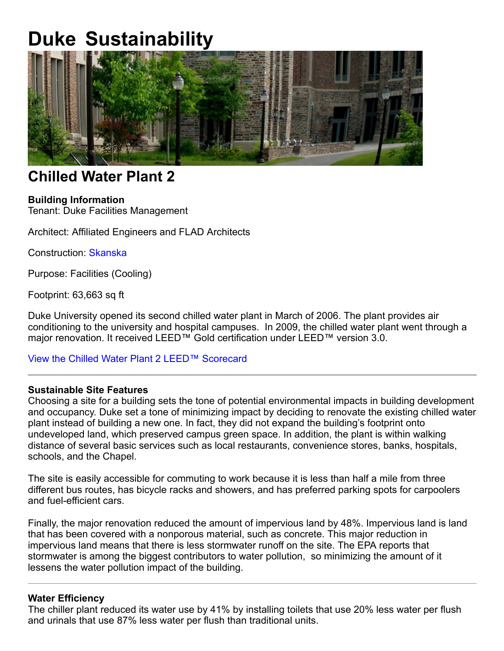# **Duke Sustainability**



# **Chilled Water Plant 2**

# **Building Information**

Tenant: Duke Facilities Management

Architect: Affiliated Engineers and FLAD Architects

Construction: Skanska

Purpose: Facilities (Cooling)

Footprint: 63,663 sq ft

Duke University opened its second chilled water plant in March of 2006. The plant provides air conditioning to the university and hospital campuses. In 2009, the chilled water plant went through a major renovation. It received LEED™ Gold certification under LEED™ version 3.0.

View the Chilled Water Plant 2 LEED™ Scorecard

# **Sustainable Site Features**

Choosing a site for a building sets the tone of potential environmental impacts in building development and occupancy. Duke set a tone of minimizing impact by deciding to renovate the existing chilled water plant instead of building a new one. In fact, they did not expand the building's footprint onto undeveloped land, which preserved campus green space. In addition, the plant is within walking distance of several basic services such as local restaurants, convenience stores, banks, hospitals, schools, and the Chapel.

The site is easily accessible for commuting to work because it is less than half a mile from three different bus routes, has bicycle racks and showers, and has preferred parking spots for carpoolers and fuel-efficient cars.

Finally, the major renovation reduced the amount of impervious land by 48%. Impervious land is land that has been covered with a nonporous material, such as concrete. This major reduction in impervious land means that there is less stormwater runoff on the site. The EPA reports that stormwater is among the biggest contributors to water pollution, so minimizing the amount of it lessens the water pollution impact of the building.

#### **Water Efficiency**

The chiller plant reduced its water use by 41% by installing toilets that use 20% less water per flush and urinals that use 87% less water per flush than traditional units.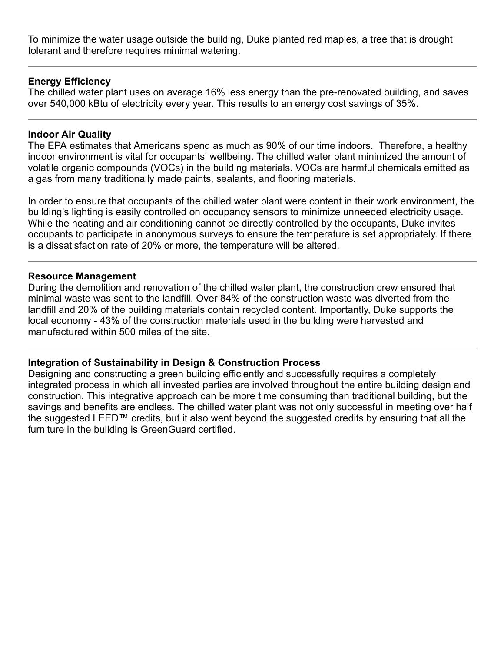To minimize the water usage outside the building, Duke planted red maples, a tree that is drought tolerant and therefore requires minimal watering.

### **Energy Efficiency**

The chilled water plant uses on average 16% less energy than the pre-renovated building, and saves over 540,000 kBtu of electricity every year. This results to an energy cost savings of 35%.

#### **Indoor Air Quality**

The EPA estimates that Americans spend as much as 90% of our time indoors. Therefore, a healthy indoor environment is vital for occupants' wellbeing. The chilled water plant minimized the amount of volatile organic compounds (VOCs) in the building materials. VOCs are harmful chemicals emitted as a gas from many traditionally made paints, sealants, and flooring materials.

In order to ensure that occupants of the chilled water plant were content in their work environment, the building's lighting is easily controlled on occupancy sensors to minimize unneeded electricity usage. While the heating and air conditioning cannot be directly controlled by the occupants, Duke invites occupants to participate in anonymous surveys to ensure the temperature is set appropriately. If there is a dissatisfaction rate of 20% or more, the temperature will be altered.

#### **Resource Management**

During the demolition and renovation of the chilled water plant, the construction crew ensured that minimal waste was sent to the landfill. Over 84% of the construction waste was diverted from the landfill and 20% of the building materials contain recycled content. Importantly, Duke supports the local economy - 43% of the construction materials used in the building were harvested and manufactured within 500 miles of the site.

#### **Integration of Sustainability in Design & Construction Process**

Designing and constructing a green building efficiently and successfully requires a completely integrated process in which all invested parties are involved throughout the entire building design and construction. This integrative approach can be more time consuming than traditional building, but the savings and benefits are endless. The chilled water plant was not only successful in meeting over half the suggested LEED™ credits, but it also went beyond the suggested credits by ensuring that all the furniture in the building is GreenGuard certified.